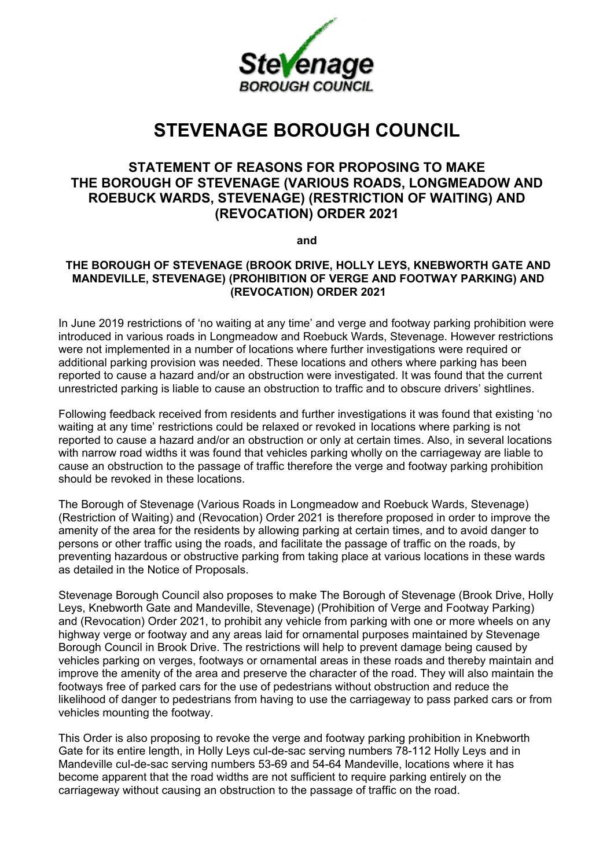

## **STEVENAGE BOROUGH COUNCIL**

## **STATEMENT OF REASONS FOR PROPOSING TO MAKE THE BOROUGH OF STEVENAGE (VARIOUS ROADS, LONGMEADOW AND ROEBUCK WARDS, STEVENAGE) (RESTRICTION OF WAITING) AND (REVOCATION) ORDER 2021**

**and**

## **THE BOROUGH OF STEVENAGE (BROOK DRIVE, HOLLY LEYS, KNEBWORTH GATE AND MANDEVILLE, STEVENAGE) (PROHIBITION OF VERGE AND FOOTWAY PARKING) AND (REVOCATION) ORDER 2021**

In June 2019 restrictions of 'no waiting at any time' and verge and footway parking prohibition were introduced in various roads in Longmeadow and Roebuck Wards, Stevenage. However restrictions were not implemented in a number of locations where further investigations were required or additional parking provision was needed. These locations and others where parking has been reported to cause a hazard and/or an obstruction were investigated. It was found that the current unrestricted parking is liable to cause an obstruction to traffic and to obscure drivers' sightlines.

Following feedback received from residents and further investigations it was found that existing 'no waiting at any time' restrictions could be relaxed or revoked in locations where parking is not reported to cause a hazard and/or an obstruction or only at certain times. Also, in several locations with narrow road widths it was found that vehicles parking wholly on the carriageway are liable to cause an obstruction to the passage of traffic therefore the verge and footway parking prohibition should be revoked in these locations.

The Borough of Stevenage (Various Roads in Longmeadow and Roebuck Wards, Stevenage) (Restriction of Waiting) and (Revocation) Order 2021 is therefore proposed in order to improve the amenity of the area for the residents by allowing parking at certain times, and to avoid danger to persons or other traffic using the roads, and facilitate the passage of traffic on the roads, by preventing hazardous or obstructive parking from taking place at various locations in these wards as detailed in the Notice of Proposals.

Stevenage Borough Council also proposes to make The Borough of Stevenage (Brook Drive, Holly Leys, Knebworth Gate and Mandeville, Stevenage) (Prohibition of Verge and Footway Parking) and (Revocation) Order 2021, to prohibit any vehicle from parking with one or more wheels on any highway verge or footway and any areas laid for ornamental purposes maintained by Stevenage Borough Council in Brook Drive. The restrictions will help to prevent damage being caused by vehicles parking on verges, footways or ornamental areas in these roads and thereby maintain and improve the amenity of the area and preserve the character of the road. They will also maintain the footways free of parked cars for the use of pedestrians without obstruction and reduce the likelihood of danger to pedestrians from having to use the carriageway to pass parked cars or from vehicles mounting the footway.

This Order is also proposing to revoke the verge and footway parking prohibition in Knebworth Gate for its entire length, in Holly Leys cul-de-sac serving numbers 78-112 Holly Leys and in Mandeville cul-de-sac serving numbers 53-69 and 54-64 Mandeville, locations where it has become apparent that the road widths are not sufficient to require parking entirely on the carriageway without causing an obstruction to the passage of traffic on the road.